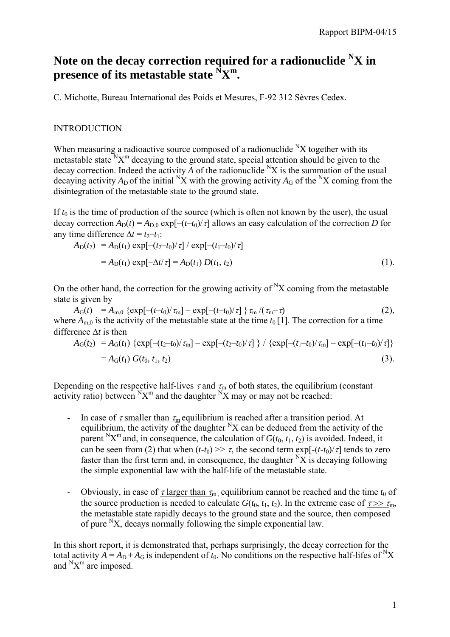## Note on the decay correction required for a radionuclide <sup>N</sup>X in **presence of its metastable state**  $\sum_{m=1}^{N} X^m$ **.**

C. Michotte, Bureau International des Poids et Mesures, F-92 312 Sèvres Cedex.

## **INTRODUCTION**

When measuring a radioactive source composed of a radionuclide  $N_X$  together with its metastable state  $N_X^m$  decaying to the ground state, special attention should be given to the decay correction. Indeed the activity  $\overline{A}$  of the radionuclide <sup>N</sup>X is the summation of the usual decaying activity  $A_D$  of the initial  ${}^N\!X$  with the growing activity  $A_G$  of the  ${}^N\!X$  coming from the disintegration of the metastable state to the ground state.

If  $t_0$  is the time of production of the source (which is often not known by the user), the usual decay correction  $A_D(t) = A_{D,0} \exp[-(t-t_0)/\tau]$  allows an easy calculation of the correction *D* for any time difference  $\Delta t = t_2 - t_1$ :

$$
A_{D}(t_{2}) = A_{D}(t_{1}) \exp[-(t_{2}-t_{0})/\tau] / \exp[-(t_{1}-t_{0})/\tau]
$$
  
=  $A_{D}(t_{1}) \exp[-\Delta t/\tau] = A_{D}(t_{1}) D(t_{1}, t_{2})$  (1).

On the other hand, the correction for the growing activity of  $X$  coming from the metastable state is given by

 $A_G(t) = A_{m,0} \{ \exp[-(t-t_0)/\tau_m] - \exp[-(t-t_0)/\tau] \} \tau_m / (\tau_m - \tau)$  (2), where  $A_{m,0}$  is the activity of the metastable state at the time  $t_0$  [1]. The correction for a time difference ∆*t* is then

$$
A_{G}(t_{2}) = A_{G}(t_{1}) \{ \exp[-(t_{2}-t_{0})/\tau_{m}] - \exp[-(t_{2}-t_{0})/\tau] \} / \{ \exp[-(t_{1}-t_{0})/\tau_{m}] - \exp[-(t_{1}-t_{0})/\tau] \}
$$
  
=  $A_{G}(t_{1}) G(t_{0}, t_{1}, t_{2})$  (3).

Depending on the respective half-lives  $\tau$  and  $\tau_m$  of both states, the equilibrium (constant activity ratio) between  ${}^{\text{N}}\text{X}^{\text{m}}$  and the daughter  ${}^{\text{N}}\text{X}$  may or may not be reached:

- In case of  $\tau$  smaller than  $\tau_m$  equilibrium is reached after a transition period. At equilibrium, the activity of the daughter  $N_X$  can be deduced from the activity of the parent <sup>N</sup>X<sup>m</sup> and, in consequence, the calculation of  $G(t_0, t_1, t_2)$  is avoided. Indeed, it can be seen from (2) that when  $(t-t_0) \gg \tau$ , the second term  $\exp[-(t-t_0)/\tau]$  tends to zero faster than the first term and, in consequence, the daughter  ${}^{\text{N}}\text{X}$  is decaying following the simple exponential law with the half-life of the metastable state.
- Obviously, in case of  $\tau$  larger than  $\tau_m$ , equilibrium cannot be reached and the time  $t_0$  of the source production is needed to calculate  $G(t_0, t_1, t_2)$ . In the extreme case of  $\tau >> \tau_m$ , the metastable state rapidly decays to the ground state and the source, then composed of pure  $X$ , decays normally following the simple exponential law.

In this short report, it is demonstrated that, perhaps surprisingly, the decay correction for the total activity  $A = A_D + A_G$  is independent of  $t_0$ . No conditions on the respective half-lifes of <sup>N</sup>X and  $N_X^m$  are imposed.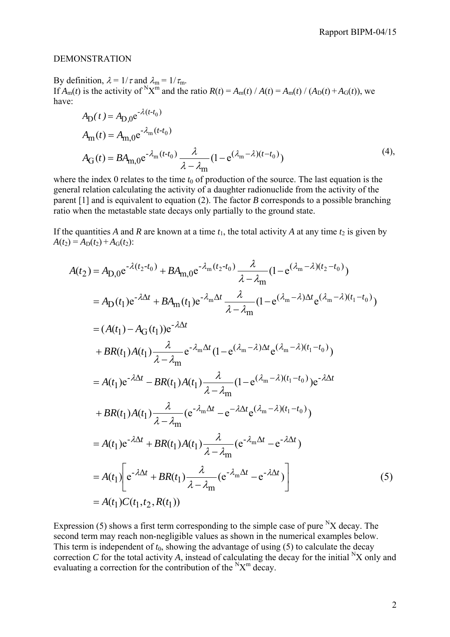## DEMONSTRATION

By definition,  $\lambda = 1/\tau$  and  $\lambda_m = 1/\tau_m$ . If  $A_m(t)$  is the activity of  $N_X^m$  and the ratio  $R(t) = A_m(t) / A(t) = A_m(t) / (A_D(t) + A_G(t))$ , we have:

$$
A_{\text{D}}(t) = A_{\text{D},0} e^{-\lambda (t - t_0)}
$$
  
\n
$$
A_{\text{m}}(t) = A_{\text{m},0} e^{-\lambda_{\text{m}}(t - t_0)}
$$
  
\n
$$
A_{\text{G}}(t) = B A_{\text{m},0} e^{-\lambda_{\text{m}}(t - t_0)} \frac{\lambda}{\lambda - \lambda_{\text{m}}}(1 - e^{(\lambda_{\text{m}} - \lambda)(t - t_0)})
$$
\n(4),

where the index 0 relates to the time  $t_0$  of production of the source. The last equation is the general relation calculating the activity of a daughter radionuclide from the activity of the parent [1] and is equivalent to equation (2). The factor *B* corresponds to a possible branching ratio when the metastable state decays only partially to the ground state.

If the quantities *A* and *R* are known at a time  $t_1$ , the total activity *A* at any time  $t_2$  is given by  $A(t_2) = A_D(t_2) + A_G(t_2)$ :

$$
A(t_2) = A_{D,0}e^{-\lambda(t_2-t_0)} + BA_{m,0}e^{-\lambda_m(t_2-t_0)}\frac{\lambda}{\lambda - \lambda_m}(1 - e^{(\lambda_m - \lambda)(t_2 - t_0)})
$$
  
\n
$$
= A_D(t_1)e^{-\lambda\Delta t} + BA_m(t_1)e^{-\lambda_m\Delta t}\frac{\lambda}{\lambda - \lambda_m}(1 - e^{(\lambda_m - \lambda)\Delta t}e^{(\lambda_m - \lambda)(t_1 - t_0)})
$$
  
\n
$$
= (A(t_1) - A_G(t_1))e^{-\lambda\Delta t}
$$
  
\n
$$
+ BR(t_1)A(t_1)\frac{\lambda}{\lambda - \lambda_m}e^{-\lambda_m\Delta t}(1 - e^{(\lambda_m - \lambda)\Delta t}e^{(\lambda_m - \lambda)(t_1 - t_0)})
$$
  
\n
$$
= A(t_1)e^{-\lambda\Delta t} - BR(t_1)A(t_1)\frac{\lambda}{\lambda - \lambda_m}(1 - e^{(\lambda_m - \lambda)(t_1 - t_0)})e^{-\lambda\Delta t}
$$
  
\n
$$
+ BR(t_1)A(t_1)\frac{\lambda}{\lambda - \lambda_m}(e^{-\lambda_m\Delta t} - e^{-\lambda\Delta t}e^{(\lambda_m - \lambda)(t_1 - t_0)})
$$
  
\n
$$
= A(t_1)e^{-\lambda\Delta t} + BR(t_1)A(t_1)\frac{\lambda}{\lambda - \lambda_m}(e^{-\lambda_m\Delta t} - e^{-\lambda\Delta t})
$$
  
\n
$$
= A(t_1)\left[e^{-\lambda\Delta t} + BR(t_1)\frac{\lambda}{\lambda - \lambda_m}(e^{-\lambda_m\Delta t} - e^{-\lambda\Delta t})\right]
$$
  
\n
$$
= A(t_1)C(t_1, t_2, R(t_1))
$$
  
\n(5)

Expression (5) shows a first term corresponding to the simple case of pure  ${}^{\text{N}}X$  decay. The second term may reach non-negligible values as shown in the numerical examples below. This term is independent of  $t_0$ , showing the advantage of using  $(5)$  to calculate the decay correction *C* for the total activity *A*, instead of calculating the decay for the initial <sup>N</sup>X only and evaluating a correction for the contribution of the  ${}^{\text{N}}\text{X}^{\text{m}}$  decay.